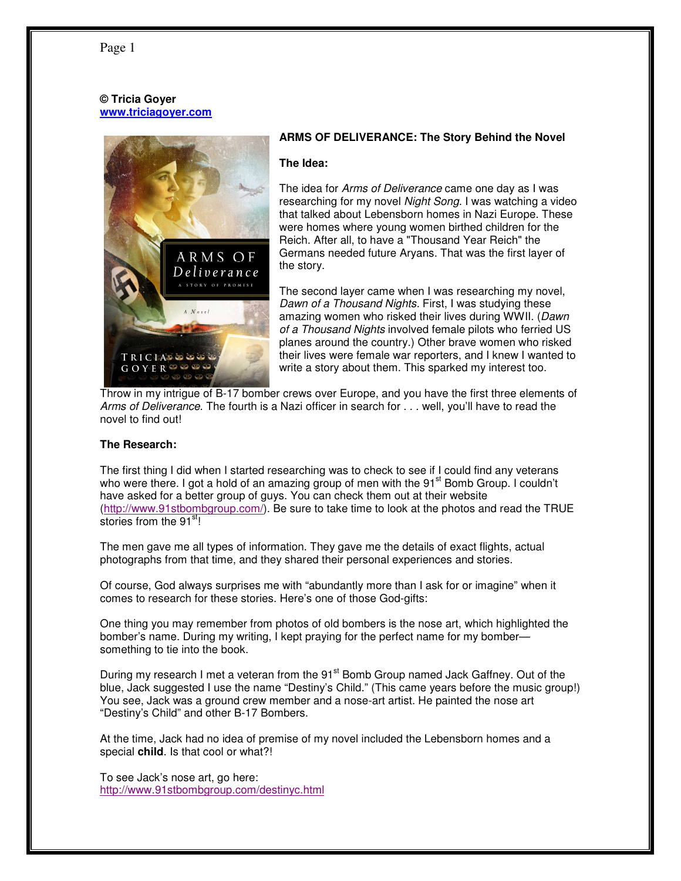# Page 1

## **© Tricia Goyer www.triciagoyer.com**



# **ARMS OF DELIVERANCE: The Story Behind the Novel**

#### **The Idea:**

The idea for Arms of Deliverance came one day as I was researching for my novel Night Song. I was watching a video that talked about Lebensborn homes in Nazi Europe. These were homes where young women birthed children for the Reich. After all, to have a "Thousand Year Reich" the Germans needed future Aryans. That was the first layer of the story.

The second layer came when I was researching my novel, Dawn of a Thousand Nights. First, I was studying these amazing women who risked their lives during WWII. (Dawn of a Thousand Nights involved female pilots who ferried US planes around the country.) Other brave women who risked their lives were female war reporters, and I knew I wanted to write a story about them. This sparked my interest too.

Throw in my intrigue of B-17 bomber crews over Europe, and you have the first three elements of Arms of Deliverance. The fourth is a Nazi officer in search for . . . well, you'll have to read the novel to find out!

## **The Research:**

The first thing I did when I started researching was to check to see if I could find any veterans who were there. I got a hold of an amazing group of men with the 91<sup>st</sup> Bomb Group. I couldn't have asked for a better group of guys. You can check them out at their website (http://www.91stbombgroup.com/). Be sure to take time to look at the photos and read the TRUE stories from the 91<sup>st</sup>!

The men gave me all types of information. They gave me the details of exact flights, actual photographs from that time, and they shared their personal experiences and stories.

Of course, God always surprises me with "abundantly more than I ask for or imagine" when it comes to research for these stories. Here's one of those God-gifts:

One thing you may remember from photos of old bombers is the nose art, which highlighted the bomber's name. During my writing, I kept praying for the perfect name for my bomber something to tie into the book.

During my research I met a veteran from the 91<sup>st</sup> Bomb Group named Jack Gaffney. Out of the blue, Jack suggested I use the name "Destiny's Child." (This came years before the music group!) You see, Jack was a ground crew member and a nose-art artist. He painted the nose art "Destiny's Child" and other B-17 Bombers.

At the time, Jack had no idea of premise of my novel included the Lebensborn homes and a special **child**. Is that cool or what?!

To see Jack's nose art, go here: http://www.91stbombgroup.com/destinyc.html